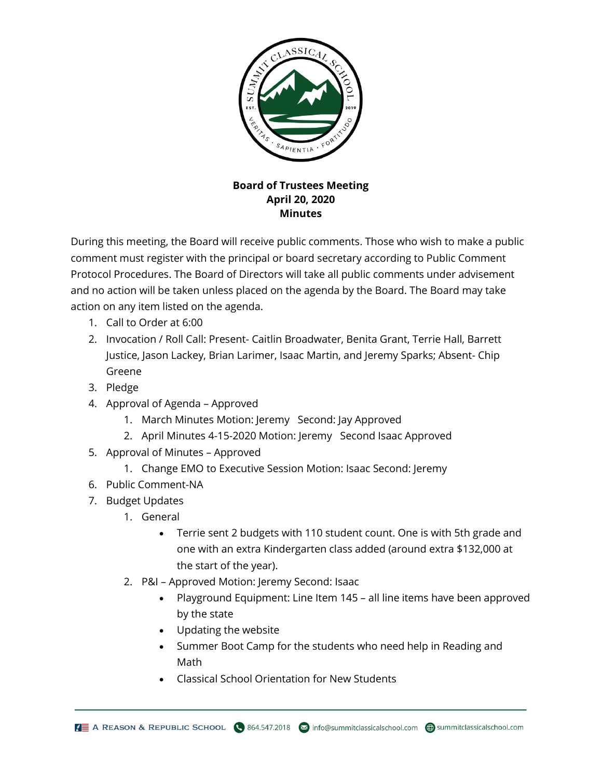

## **Board of Trustees Meeting April 20, 2020 Minutes**

During this meeting, the Board will receive public comments. Those who wish to make a public comment must register with the principal or board secretary according to Public Comment Protocol Procedures. The Board of Directors will take all public comments under advisement and no action will be taken unless placed on the agenda by the Board. The Board may take action on any item listed on the agenda.

- 1. Call to Order at 6:00
- 2. Invocation / Roll Call: Present- Caitlin Broadwater, Benita Grant, Terrie Hall, Barrett Justice, Jason Lackey, Brian Larimer, Isaac Martin, and Jeremy Sparks; Absent- Chip Greene
- 3. Pledge
- 4. Approval of Agenda Approved
	- 1. March Minutes Motion: Jeremy Second: Jay Approved
	- 2. April Minutes 4-15-2020 Motion: Jeremy Second Isaac Approved
- 5. Approval of Minutes Approved
	- 1. Change EMO to Executive Session Motion: Isaac Second: Jeremy
- 6. Public Comment-NA
- 7. Budget Updates
	- 1. General
		- Terrie sent 2 budgets with 110 student count. One is with 5th grade and one with an extra Kindergarten class added (around extra \$132,000 at the start of the year).
	- 2. P&I Approved Motion: Jeremy Second: Isaac
		- Playground Equipment: Line Item 145 all line items have been approved by the state
		- Updating the website
		- Summer Boot Camp for the students who need help in Reading and Math
		- Classical School Orientation for New Students